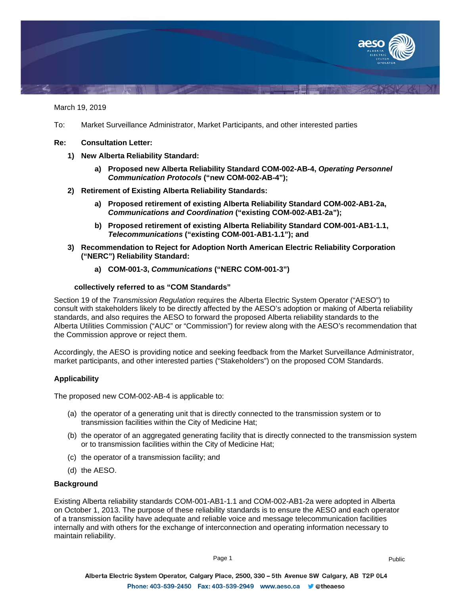

March 19, 2019

- To: Market Surveillance Administrator, Market Participants, and other interested parties
- **Re: Consultation Letter:**
	- **1) New Alberta Reliability Standard:**
		- **a) Proposed new Alberta Reliability Standard COM-002-AB-4,** *Operating Personnel Communication Protocols* **("new COM-002-AB-4");**
	- **2) Retirement of Existing Alberta Reliability Standards:**
		- **a) Proposed retirement of existing Alberta Reliability Standard COM-002-AB1-2a,**  *Communications and Coordination* **("existing COM-002-AB1-2a");**
		- **b) Proposed retirement of existing Alberta Reliability Standard COM-001-AB1-1.1,**  *Telecommunications* **("existing COM-001-AB1-1.1"); and**
	- **3) Recommendation to Reject for Adoption North American Electric Reliability Corporation ("NERC") Reliability Standard:**
		- **a) COM-001-3,** *Communications* **("NERC COM-001-3")**

## **collectively referred to as "COM Standards"**

Section 19 of the *Transmission Regulation* requires the Alberta Electric System Operator ("AESO") to consult with stakeholders likely to be directly affected by the AESO's adoption or making of Alberta reliability standards, and also requires the AESO to forward the proposed Alberta reliability standards to the Alberta Utilities Commission ("AUC" or "Commission") for review along with the AESO's recommendation that the Commission approve or reject them.

Accordingly, the AESO is providing notice and seeking feedback from the Market Surveillance Administrator, market participants, and other interested parties ("Stakeholders") on the proposed COM Standards.

# **Applicability**

The proposed new COM-002-AB-4 is applicable to:

- (a) the operator of a generating unit that is directly connected to the transmission system or to transmission facilities within the City of Medicine Hat;
- (b) the operator of an aggregated generating facility that is directly connected to the transmission system or to transmission facilities within the City of Medicine Hat;
- (c) the operator of a transmission facility; and
- (d) the AESO.

#### **Background**

Existing Alberta reliability standards COM-001-AB1-1.1 and COM-002-AB1-2a were adopted in Alberta on October 1, 2013. The purpose of these reliability standards is to ensure the AESO and each operator of a transmission facility have adequate and reliable voice and message telecommunication facilities internally and with others for the exchange of interconnection and operating information necessary to maintain reliability.

Page 1 Public Public Public Public Public Public Public Public Public Public Public Public Public Public Public Public Public Public Public Public Public Public Public Public Public Public Public Public Public Public Publi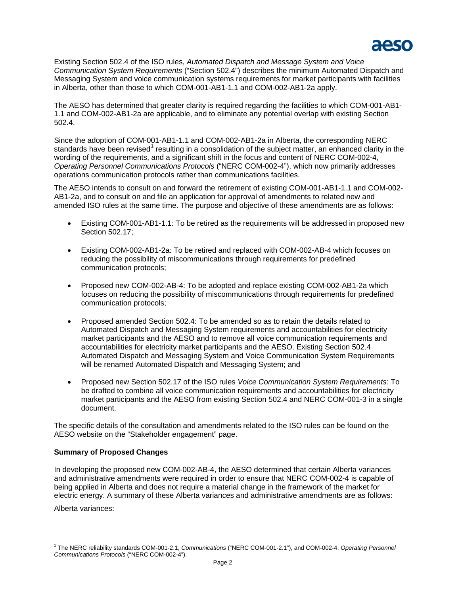

Existing Section 502.4 of the ISO rules, *Automated Dispatch and Message System and Voice Communication System Requirements* ("Section 502.4") describes the minimum Automated Dispatch and Messaging System and voice communication systems requirements for market participants with facilities in Alberta, other than those to which COM-001-AB1-1.1 and COM-002-AB1-2a apply.

The AESO has determined that greater clarity is required regarding the facilities to which COM-001-AB1- 1.1 and COM-002-AB1-2a are applicable, and to eliminate any potential overlap with existing Section 502.4.

Since the adoption of COM-001-AB1-1.1 and COM-002-AB1-2a in Alberta, the corresponding NERC standards have been revised<sup>[1](#page-1-0)</sup> resulting in a consolidation of the subject matter, an enhanced clarity in the wording of the requirements, and a significant shift in the focus and content of NERC COM-002-4, *Operating Personnel Communications Protocols* ("NERC COM-002-4"), which now primarily addresses operations communication protocols rather than communications facilities.

The AESO intends to consult on and forward the retirement of existing COM-001-AB1-1.1 and COM-002- AB1-2a, and to consult on and file an application for approval of amendments to related new and amended ISO rules at the same time. The purpose and objective of these amendments are as follows:

- Existing COM-001-AB1-1.1: To be retired as the requirements will be addressed in proposed new Section 502.17;
- Existing COM-002-AB1-2a: To be retired and replaced with COM-002-AB-4 which focuses on reducing the possibility of miscommunications through requirements for predefined communication protocols;
- Proposed new COM-002-AB-4: To be adopted and replace existing COM-002-AB1-2a which focuses on reducing the possibility of miscommunications through requirements for predefined communication protocols;
- Proposed amended Section 502.4: To be amended so as to retain the details related to Automated Dispatch and Messaging System requirements and accountabilities for electricity market participants and the AESO and to remove all voice communication requirements and accountabilities for electricity market participants and the AESO. Existing Section 502.4 Automated Dispatch and Messaging System and Voice Communication System Requirements will be renamed Automated Dispatch and Messaging System; and
- Proposed new Section 502.17 of the ISO rules *Voice Communication System Requirements*: To be drafted to combine all voice communication requirements and accountabilities for electricity market participants and the AESO from existing Section 502.4 and NERC COM-001-3 in a single document.

The specific details of the consultation and amendments related to the ISO rules can be found on the AESO website on the "Stakeholder engagement" page.

# **Summary of Proposed Changes**

In developing the proposed new COM-002-AB-4, the AESO determined that certain Alberta variances and administrative amendments were required in order to ensure that NERC COM-002-4 is capable of being applied in Alberta and does not require a material change in the framework of the market for electric energy. A summary of these Alberta variances and administrative amendments are as follows:

Alberta variances:

 $\overline{a}$ 

<span id="page-1-0"></span><sup>1</sup> The NERC reliability standards COM-001-2.1, *Communications* ("NERC COM-001-2.1"), and COM-002-4, *Operating Personnel Communications Protocols* ("NERC COM-002-4").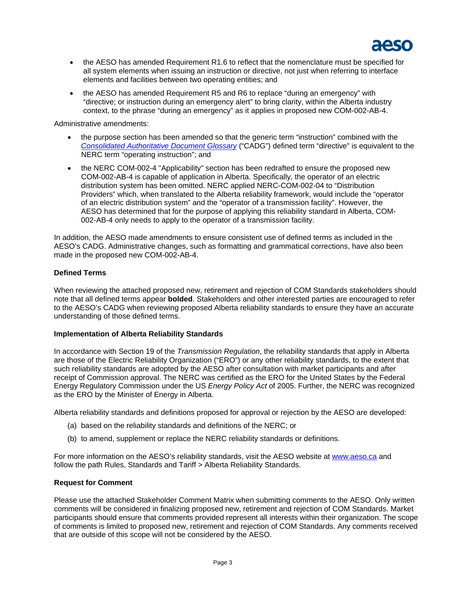

- the AESO has amended Requirement R1.6 to reflect that the nomenclature must be specified for all system elements when issuing an instruction or directive, not just when referring to interface elements and facilities between two operating entities; and
- the AESO has amended Requirement R5 and R6 to replace "during an emergency" with "directive; or instruction during an emergency alert" to bring clarity, within the Alberta industry context, to the phrase "during an emergency" as it applies in proposed new COM-002-AB-4.

Administrative amendments:

- the purpose section has been amended so that the generic term "instruction" combined with the *[Consolidated Authoritative Document Glossary](http://www.aeso.ca/rulesprocedures/20550.html)* ("CADG") defined term "directive" is equivalent to the NERC term "operating instruction"; and
- the NERC COM-002-4 "Applicability" section has been redrafted to ensure the proposed new COM-002-AB-4 is capable of application in Alberta. Specifically, the operator of an electric distribution system has been omitted. NERC applied NERC-COM-002-04 to "Distribution Providers" which, when translated to the Alberta reliability framework, would include the "operator of an electric distribution system" and the "operator of a transmission facility". However, the AESO has determined that for the purpose of applying this reliability standard in Alberta, COM-002-AB-4 only needs to apply to the operator of a transmission facility.

In addition, the AESO made amendments to ensure consistent use of defined terms as included in the AESO's CADG. Administrative changes, such as formatting and grammatical corrections, have also been made in the proposed new COM-002-AB-4.

# **Defined Terms**

When reviewing the attached proposed new, retirement and rejection of COM Standards stakeholders should note that all defined terms appear **bolded**. Stakeholders and other interested parties are encouraged to refer to the AESO's CADG when reviewing proposed Alberta reliability standards to ensure they have an accurate understanding of those defined terms.

### **Implementation of Alberta Reliability Standards**

In accordance with Section 19 of the *Transmission Regulation*, the reliability standards that apply in Alberta are those of the Electric Reliability Organization ("ERO") or any other reliability standards, to the extent that such reliability standards are adopted by the AESO after consultation with market participants and after receipt of Commission approval. The NERC was certified as the ERO for the United States by the Federal Energy Regulatory Commission under the US *Energy Policy Act* of 2005. Further, the NERC was recognized as the ERO by the Minister of Energy in Alberta.

Alberta reliability standards and definitions proposed for approval or rejection by the AESO are developed:

- (a) based on the reliability standards and definitions of the NERC; or
- (b) to amend, supplement or replace the NERC reliability standards or definitions.

For more information on the AESO's reliability standards, visit the AESO website at [www.aeso.ca](http://www.aeso.ca/) and follow the path Rules, Standards and Tariff > Alberta Reliability Standards.

# **Request for Comment**

Please use the attached Stakeholder Comment Matrix when submitting comments to the AESO. Only written comments will be considered in finalizing proposed new, retirement and rejection of COM Standards. Market participants should ensure that comments provided represent all interests within their organization. The scope of comments is limited to proposed new, retirement and rejection of COM Standards. Any comments received that are outside of this scope will not be considered by the AESO.